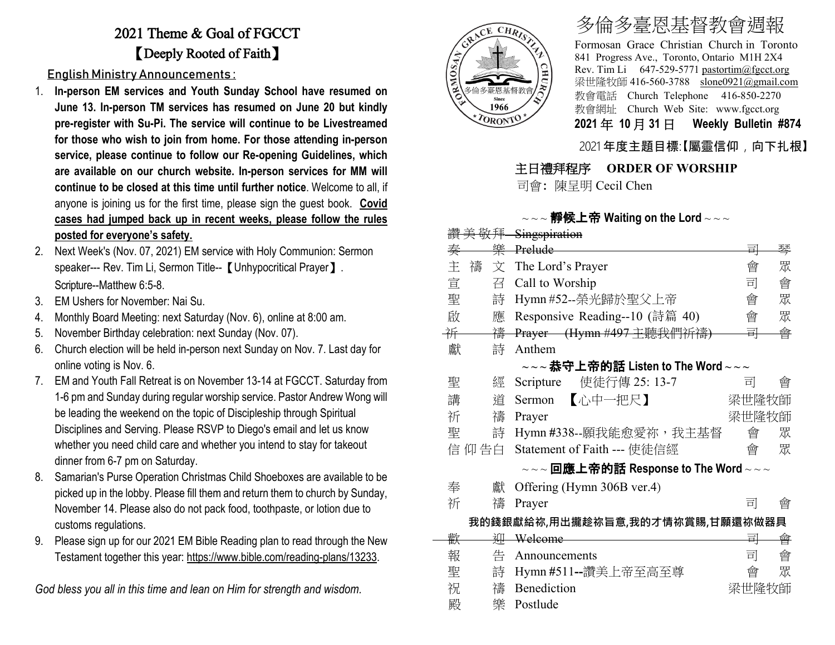## 2021 Theme & Goal of FGCCT 【Deeply Rooted of Faith】

English Ministry Announcements :

- 1. **In-person EM services and Youth Sunday School have resumed on June 13. In-person TM services has resumed on June 20 but kindly pre-register with Su-Pi. The service will continue to be Livestreamed for those who wish to join from home. For those attending in-person service, please continue to follow our Re-opening Guidelines, which are available on our church website. In-person services for MM will continue to be closed at this time until further notice**. Welcome to all, if anyone is joining us for the first time, please sign the guest book. **Covid cases had jumped back up in recent weeks, please follow the rules posted for everyone's safety.**
- 2. Next Week's (Nov. 07, 2021) EM service with Holy Communion: Sermon speaker--- Rev. Tim Li, Sermon Title-- 【 Unhypocritical Prayer 】. Scripture--Matthew 6:5-8.
- 3. EM Ushers for November: Nai Su.
- 4. Monthly Board Meeting: next Saturday (Nov. 6), online at 8:00 am.
- 5. November Birthday celebration: next Sunday (Nov. 07).
- 6. Church election will be held in-person next Sunday on Nov. 7. Last day for online voting is Nov. 6.
- 7. EM and Youth Fall Retreat is on November 13-14 at FGCCT. Saturday from 1-6 pm and Sunday during regular worship service. Pastor Andrew Wong will be leading the weekend on the topic of Discipleship through Spiritual Disciplines and Serving. Please RSVP to Diego's email and let us know whether you need child care and whether you intend to stay for takeout dinner from 6-7 pm on Saturday.
- 8. Samarian's Purse Operation Christmas Child Shoeboxes are available to be picked up in the lobby. Please fill them and return them to church by Sunday, November 14. Please also do not pack food, toothpaste, or lotion due to customs regulations.
- 9. Please sign up for our 2021 EM Bible Reading plan to read through the New Testament together this year: [https://www.bible.com/reading-plans/13233.](https://www.bible.com/reading-plans/13233)

*God bless you all in this time and lean on Him for strength and wisdom.*



# 多倫多臺恩基督教會週報

Formosan Grace Christian Church in Toronto 841 Progress Ave., Toronto, Ontario M1H 2X4 Rev. Tim Li 647-529-5771 [pastortim@fgcct.org](mailto:pastortim@fgcct.org) 梁世隆牧師 416-560-3788 slone0921@gmail.com 教會電話 Church Telephone 416-850-2270 教會網址 Church Web Site: www.fgcct.org **2021** 年 **10** 月 **31** 日 **Weekly Bulletin #874** 

#### 2021 年度主題目標:【屬靈信仰,向下扎根】

#### 主日禮拜程序 **ORDER OF WORSHIP**

司會: 陳呈明 Cecil Chen

#### $\sim$   $\sim$   $\approx$  # $\frac{1}{2}$   $\frac{1}{2}$   $\frac{1}{2}$   $\frac{1}{2}$   $\frac{1}{2}$   $\frac{1}{2}$   $\frac{1}{2}$   $\frac{1}{2}$   $\sim$   $\sim$   $\sim$   $\sim$   $\sim$   $\sim$

|                                 | 敬拜     | Singspiration                                                                                                 |       |   |  |  |  |  |  |
|---------------------------------|--------|---------------------------------------------------------------------------------------------------------------|-------|---|--|--|--|--|--|
| 奏                               | 樂      | Prelude                                                                                                       | 릐     | 琴 |  |  |  |  |  |
| 主                               | 禱<br>文 | The Lord's Prayer                                                                                             | 會     | 眾 |  |  |  |  |  |
| 宣                               | 召      | Call to Worship                                                                                               | 司     | 會 |  |  |  |  |  |
| 聖                               | 詩      | Hymn #52--榮光歸於聖父上帝                                                                                            | 會     | 眾 |  |  |  |  |  |
| 啟                               | 應      | Responsive Reading--10 (詩篇 40)                                                                                | 會     | 眾 |  |  |  |  |  |
| 并                               | 禱      | Prayer (Hymn #497 主聽我們祈禱)                                                                                     | 킈     | 會 |  |  |  |  |  |
| 獻                               | 詩      | Anthem                                                                                                        |       |   |  |  |  |  |  |
|                                 |        | $\scriptstyle\mathtt{\sim}\mathtt{\sim}$ 恭守上帝的話 Listen to The Word $\scriptstyle\mathtt{\sim}\mathtt{\sim}$   |       |   |  |  |  |  |  |
| 聖                               | 經      | 使徒行傳 25: 13-7<br>Scripture                                                                                    | 司     | 曾 |  |  |  |  |  |
| 講                               | 道      | 【心中一把尺】<br>Sermon                                                                                             | 梁世隆牧師 |   |  |  |  |  |  |
| 祈                               | 禱      | Prayer                                                                                                        | 梁世隆牧師 |   |  |  |  |  |  |
| 聖                               | 詩      | Hymn #338--願我能愈愛祢, 我主基督                                                                                       | 會     | 眾 |  |  |  |  |  |
|                                 | 信 仰 告白 | Statement of Faith --- 使徒信經                                                                                   | 會     | 眾 |  |  |  |  |  |
|                                 |        | $\scriptstyle\mathtt{\sim}\mathtt{\sim}$ 回應上帝的話 Response to The Word $\scriptstyle\mathtt{\sim}\mathtt{\sim}$ |       |   |  |  |  |  |  |
| 奉                               | 獻      | Offering (Hymn 306B ver.4)                                                                                    |       |   |  |  |  |  |  |
| 祈                               | 禱      | Prayer                                                                                                        | 킈     | 會 |  |  |  |  |  |
| 我的錢銀獻給祢,用出攏趁祢旨意,我的才情祢賞賜,甘願還祢做器具 |        |                                                                                                               |       |   |  |  |  |  |  |
| 歡                               | 泖      | Welcome                                                                                                       | 킈     | 會 |  |  |  |  |  |
| 報                               | 告      | Announcements                                                                                                 | 司     | 會 |  |  |  |  |  |
| 聖                               | 詩      | Hymn #511--讚美上帝至高至尊                                                                                           | 會     | 眾 |  |  |  |  |  |
| 祝                               | 禱      | Benediction                                                                                                   | 梁世隆牧師 |   |  |  |  |  |  |
| 殿                               | 樂      | Postlude                                                                                                      |       |   |  |  |  |  |  |